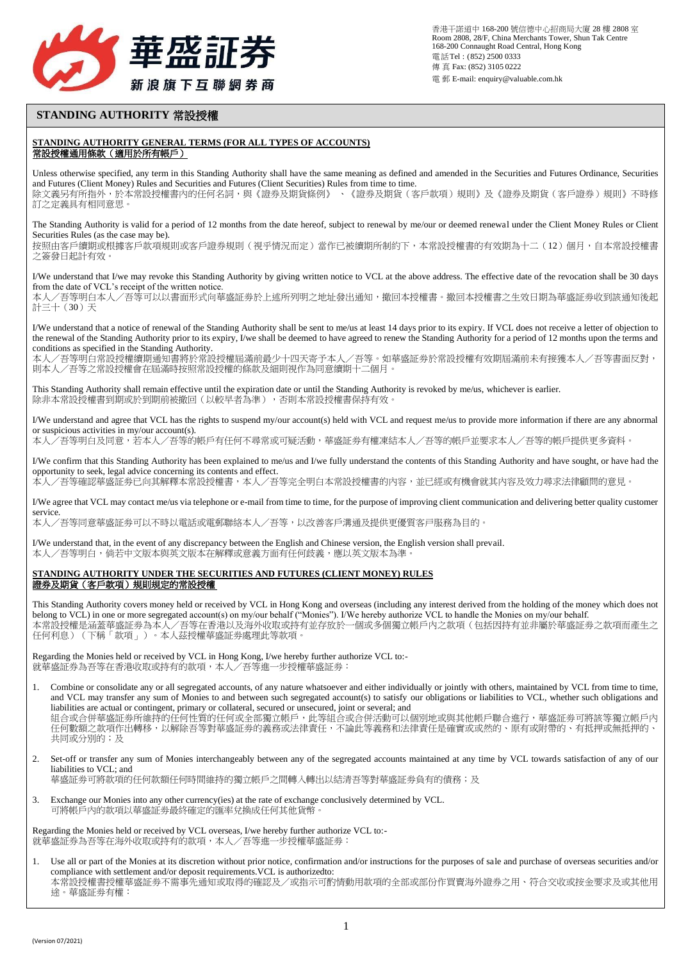

## **STANDING AUTHORITY** 常設授權

## **STANDING AUTHORITY GENERAL TERMS (FOR ALL TYPES OF ACCOUNTS)** 常設授權通用條款(適用於所有帳戶)

Unless otherwise specified, any term in this Standing Authority shall have the same meaning as defined and amended in the Securities and Futures Ordinance, Securities and Futures (Client Money) Rules and Securities and Futures (Client Securities) Rules from time to time. 除文義另有所指外,於本常設授權書內的任何名詞,與《證券及期貨條例》、《證券及期貨(客戶款項)規則》及《證券及期貨(客戶證券)規則》不時修 訂之定義具有相同意思。

The Standing Authority is valid for a period of 12 months from the date hereof, subject to renewal by me/our or deemed renewal under the Client Money Rules or Client Securities Rules (as the case may be). 按照由客戶續期或根據客戶款項規則或客戶證券規則(視乎情況而定)當作已被續期所制約下,本常設授權書的有效期為十二(12)個月,自本常設授權書

之簽發日起計有效。

I/We understand that I/we may revoke this Standing Authority by giving written notice to VCL at the above address. The effective date of the revocation shall be 30 days from the date of VCL's receipt of the written notice.

本人/吾等明白本人/吾等可以以書面形式向華盛証劵於上述所列明之地址發出通知,撤回本授權書。撤回本授權書之生效日期為華盛証劵收到該通知後起 計三十(30)天

I/We understand that a notice of renewal of the Standing Authority shall be sent to me/us at least 14 days prior to its expiry. If VCL does not receive a letter of objection to the renewal of the Standing Authority prior to its expiry, I/we shall be deemed to have agreed to renew the Standing Authority for a period of 12 months upon the terms and conditions as specified in the Standing Authority.

本人/吾等明白常設授權續期通知書將於常設授權屆滿前最少十四天寄予本人/吾等。如華盛証劵於常設授權有效期屆滿前未有接獲本人/吾等書面反對, 則本人/吾等之常設授權會在屆滿時按照常設授權的條款及細則視作為同意續期十二個月。

This Standing Authority shall remain effective until the expiration date or until the Standing Authority is revoked by me/us, whichever is earlier. 除非本常設授權書到期或於到期前被撤回(以較早者為準),否則本常設授權書保持有效。

I/We understand and agree that VCL has the rights to suspend my/our account(s) held with VCL and request me/us to provide more information if there are any abnormal or suspicious activities in my/our account(s).

本人/吾等明白及同意,若本人/吾等的帳戶有任何不尋常或可疑活動,華盛証劵有權凍結本人/吾等的帳戶並要求本人/吾等的帳戶提供更多資料。

I/We confirm that this Standing Authority has been explained to me/us and I/we fully understand the contents of this Standing Authority and have sought, or have had the opportunity to seek, legal advice concerning its contents and effect. 本人/吾等確認華盛証劵已向其解釋本常設授權書,本人/吾等完全明白本常設授權書的內容,並已經或有機會就其內容及效力尋求法律顧問的意見。

I/We agree that VCL may contact me/us via telephone or e-mail from time to time, for the purpose of improving client communication and delivering better quality customer service.

本人/吾等同意華盛証劵可以不時以電話或電郵聯絡本人/吾等,以改善客戶溝通及提供更優質客戸服務為目的。

I/We understand that, in the event of any discrepancy between the English and Chinese version, the English version shall prevail. 本人/吾等明白,倘若中文版本與英文版本在解釋或意義方面有任何歧義,應以英文版本為準。

## **STANDING AUTHORITY UNDER THE SECURITIES AND FUTURES (CLIENT MONEY) RULES** 證券及期貨(客戶款項)規則規定的常設授權

This Standing Authority covers money held or received by VCL in Hong Kong and overseas (including any interest derived from the holding of the money which does not belong to VCL) in one or more segregated account(s) on my/our behalf ("Monies"). I/We hereby authorize VCL to handle the Monies on my/our behalf. 本常設授權是涵蓋華盛証劵為本人/吾等在香港以及海外收取或持有並存放於一個或多個獨立帳戶內之款項(包括因持有並非屬於華盛証劵之款項而產生之 任何利息)(下稱「款項」)。本人茲授權華盛証劵處理此等款項。

Regarding the Monies held or received by VCL in Hong Kong, I/we hereby further authorize VCL to:- 就華盛証券為吾等在香港收取或持有的款項,本人/吾等進一步授權華盛証券:

1. Combine or consolidate any or all segregated accounts, of any nature whatsoever and either individually or jointly with others, maintained by VCL from time to time, and VCL may transfer any sum of Monies to and between such segregated account(s) to satisfy our obligations or liabilities to VCL, whether such obligations and liabilities are actual or contingent, primary or collateral, secured or unsecured, joint or several; and

組合或合併華盛証券所維持的任何性質的任何或全部獨立帳戶,此等組合或合併活動可以個別地或與其他帳戶聯合進行,華盛証券可將該等獨立帳戶內 任何數額之款項作出轉移,以解除吾等對華盛証劵的義務或法律責任,不論此等義務和法律責任是確實或或然的、原有或附帶的、有抵押或無抵押的、 共同或分別的;及

2. Set-off or transfer any sum of Monies interchangeably between any of the segregated accounts maintained at any time by VCL towards satisfaction of any of our liabilities to VCL; and

華盛証券可將款項的任何款額任何時間維持的獨立帳戶之間轉入轉出以結清吾等對華盛証券負有的債務;及

3. Exchange our Monies into any other currency(ies) at the rate of exchange conclusively determined by VCL. 可將帳戶內的款項以華盛証劵最終確定的匯率兌換成任何其他貨幣。

Regarding the Monies held or received by VCL overseas, I/we hereby further authorize VCL to:- 就華盛証券為吾等在海外收取或持有的款項,本人/吾等進一步授權華盛証券:

Use all or part of the Monies at its discretion without prior notice, confirmation and/or instructions for the purposes of sale and purchase of overseas securities and/or compliance with settlement and/or deposit requirements.VCL is authorizedto: 本常設授權書授權華盛証劵不需事先通知或取得的確認及/或指示可酌情動用款項的全部或部份作買賣海外證券之用、符合交收或按金要求及或其他用 途。華盛証劵有權: